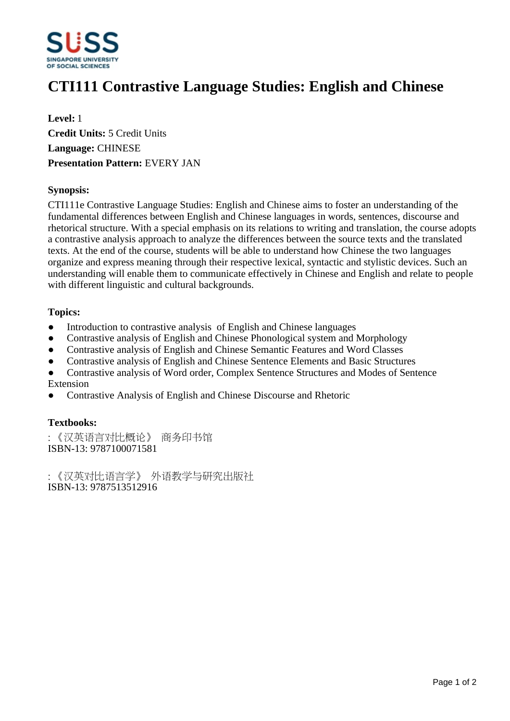

# **CTI111 Contrastive Language Studies: English and Chinese**

**Level:** 1 **Credit Units:** 5 Credit Units **Language:** CHINESE **Presentation Pattern:** EVERY JAN

## **Synopsis:**

CTI111e Contrastive Language Studies: English and Chinese aims to foster an understanding of the fundamental differences between English and Chinese languages in words, sentences, discourse and rhetorical structure. With a special emphasis on its relations to writing and translation, the course adopts a contrastive analysis approach to analyze the differences between the source texts and the translated texts. At the end of the course, students will be able to understand how Chinese the two languages organize and express meaning through their respective lexical, syntactic and stylistic devices. Such an understanding will enable them to communicate effectively in Chinese and English and relate to people with different linguistic and cultural backgrounds.

## **Topics:**

- Introduction to contrastive analysis of English and Chinese languages
- Contrastive analysis of English and Chinese Phonological system and Morphology
- Contrastive analysis of English and Chinese Semantic Features and Word Classes
- Contrastive analysis of English and Chinese Sentence Elements and Basic Structures
- ƔContrastive analysis of Word order, Complex Sentence Structures and Modes of Sentence Extension
- ƔContrastive Analysis of English and Chinese Discourse and Rhetoric

## **Textbooks:**

:《汉英语言对比概论》 商务印书馆 ISBN-13: 9787100071581

:《汉英对比语言学》 外语教学与研究出版社 ISBN-13: 9787513512916